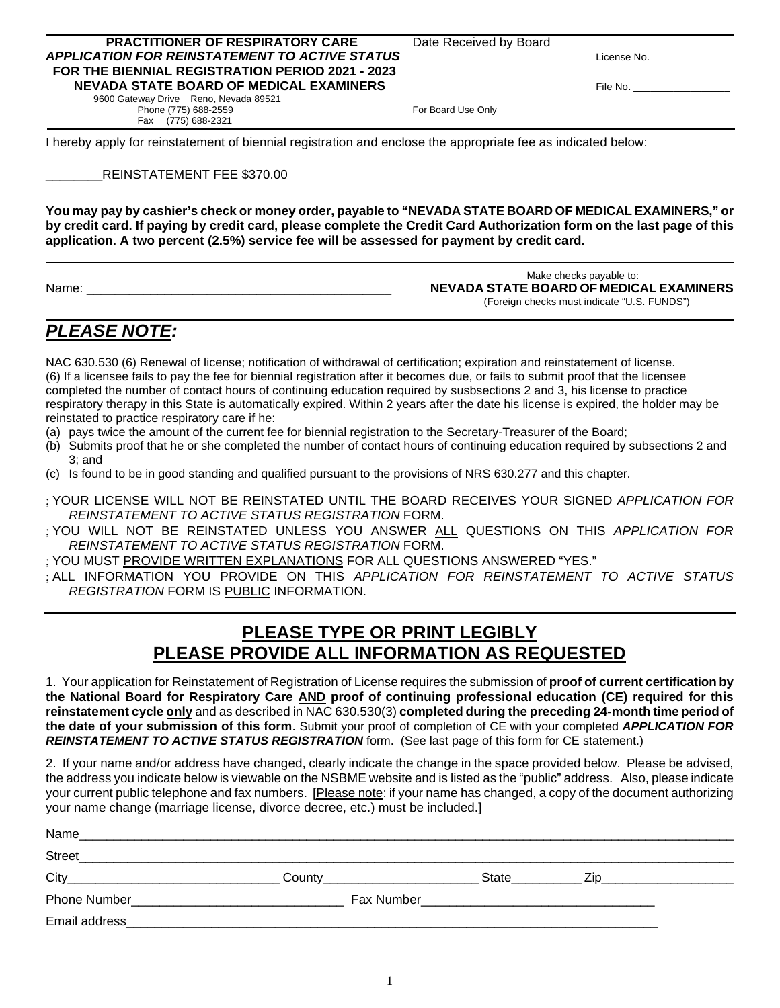#### **PRACTITIONER OF RESPIRATORY CARE** Date Received by Board *APPLICATION FOR REINSTATEMENT TO ACTIVE STATUS* License No.\_\_\_\_\_\_\_\_\_\_\_\_\_\_  **FOR THE BIENNIAL REGISTRATION PERIOD 2021 - 2023 NEVADA STATE BOARD OF MEDICAL EXAMINERS** File No.

 9600 Gateway Drive Reno, Nevada 89521 Phone (775) 688-2559 For Board Use Only Fax (775) 688-2321

I hereby apply for reinstatement of biennial registration and enclose the appropriate fee as indicated below:

### \_\_\_\_\_\_\_\_REINSTATEMENT FEE \$370.00

**You may pay by cashier's check or money order, payable to "NEVADA STATE BOARD OF MEDICAL EXAMINERS," or by credit card. If paying by credit card, please complete the Credit Card Authorization form on the last page of this application. A two percent (2.5%) service fee will be assessed for payment by credit card.**

 Make checks payable to: Name: \_\_\_\_\_\_\_\_\_\_\_\_\_\_\_\_\_\_\_\_\_\_\_\_\_\_\_\_\_\_\_\_\_\_\_\_\_\_\_\_\_\_\_ **NEVADA STATE BOARD OF MEDICAL EXAMINERS**(Foreign checks must indicate "U.S. FUNDS")

## *PLEASE NOTE:*

NAC 630.530 (6) Renewal of license; notification of withdrawal of certification; expiration and reinstatement of license. (6) If a licensee fails to pay the fee for biennial registration after it becomes due, or fails to submit proof that the licensee completed the number of contact hours of continuing education required by susbsections 2 and 3, his license to practice respiratory therapy in this State is automatically expired. Within 2 years after the date his license is expired, the holder may be reinstated to practice respiratory care if he:

- (a) pays twice the amount of the current fee for biennial registration to the Secretary-Treasurer of the Board;
- (b) Submits proof that he or she completed the number of contact hours of continuing education required by subsections 2 and 3; and
- (c) Is found to be in good standing and qualified pursuant to the provisions of NRS 630.277 and this chapter.
- ; YOUR LICENSE WILL NOT BE REINSTATED UNTIL THE BOARD RECEIVES YOUR SIGNED *APPLICATION FOR REINSTATEMENT TO ACTIVE STATUS REGISTRATION* FORM.
- ; YOU WILL NOT BE REINSTATED UNLESS YOU ANSWER ALL QUESTIONS ON THIS *APPLICATION FOR REINSTATEMENT TO ACTIVE STATUS REGISTRATION* FORM.
- ; YOU MUST PROVIDE WRITTEN EXPLANATIONS FOR ALL QUESTIONS ANSWERED "YES."
- ; ALL INFORMATION YOU PROVIDE ON THIS *APPLICATION FOR REINSTATEMENT TO ACTIVE STATUS REGISTRATION* FORM IS PUBLIC INFORMATION.

# **PLEASE TYPE OR PRINT LEGIBLY PLEASE PROVIDE ALL INFORMATION AS REQUESTED**

1. Your application for Reinstatement of Registration of License requires the submission of **proof of current certification by the National Board for Respiratory Care AND proof of continuing professional education (CE) required for this reinstatement cycle only** and as described in NAC 630.530(3) **completed during the preceding 24-month time period of the date of your submission of this form**. Submit your proof of completion of CE with your completed *APPLICATION FOR REINSTATEMENT TO ACTIVE STATUS REGISTRATION* form. (See last page of this form for CE statement.)

2. If your name and/or address have changed, clearly indicate the change in the space provided below. Please be advised, the address you indicate below is viewable on the NSBME website and is listed as the "public" address. Also, please indicate your current public telephone and fax numbers. [Please note: if your name has changed, a copy of the document authorizing your name change (marriage license, divorce decree, etc.) must be included.]

| Name                |            |       |     |
|---------------------|------------|-------|-----|
| <b>Street</b>       |            |       |     |
| City                | County     | State | 7in |
| <b>Phone Number</b> | Fax Number |       |     |
| Email address       |            |       |     |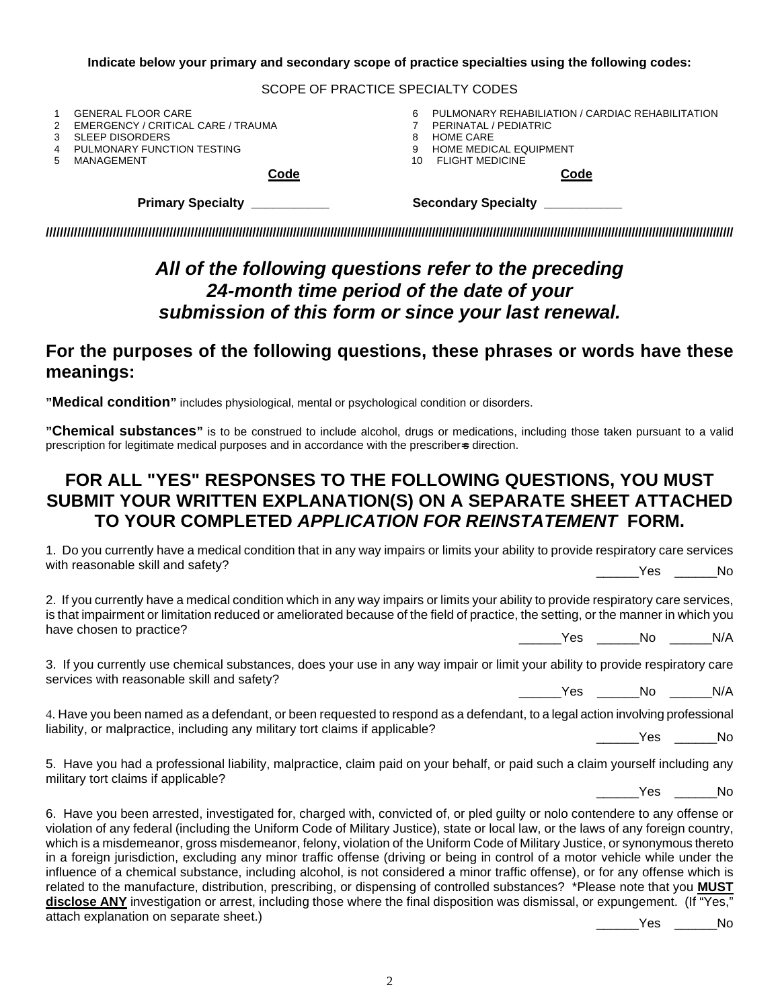#### **Indicate below your primary and secondary scope of practice specialties using the following codes:**

#### SCOPE OF PRACTICE SPECIALTY CODES

|    | Primary Specialty __________       | Secondary Specialty __________                   |
|----|------------------------------------|--------------------------------------------------|
|    | <b>Code</b>                        | <b>Code</b>                                      |
| 5. | MANAGEMENT                         | <b>FLIGHT MEDICINE</b><br>10                     |
|    | PULMONARY FUNCTION TESTING         | <b>HOME MEDICAL EQUIPMENT</b>                    |
|    | SLEEP DISORDERS                    | HOME CARE                                        |
|    | EMERGENCY / CRITICAL CARE / TRAUMA | PERINATAL / PEDIATRIC                            |
|    | <b>GENERAL FLOOR CARE</b>          | PULMONARY REHABILIATION / CARDIAC REHABILITATION |

**/////////////////////////////////////////////////////////////////////////////////////////////////////////////////////////////////////////////////////////////////////////////////////////////////////////**

# *All of the following questions refer to the preceding 24-month time period of the date of your submission of this form or since your last renewal.*

## **For the purposes of the following questions, these phrases or words have these meanings:**

**"Medical condition"** includes physiological, mental or psychological condition or disorders.

**"Chemical substances"** is to be construed to include alcohol, drugs or medications, including those taken pursuant to a valid prescription for legitimate medical purposes and in accordance with the prescriber-s direction.

# **FOR ALL "YES" RESPONSES TO THE FOLLOWING QUESTIONS, YOU MUST SUBMIT YOUR WRITTEN EXPLANATION(S) ON A SEPARATE SHEET ATTACHED TO YOUR COMPLETED** *APPLICATION FOR REINSTATEMENT* **FORM.**

1. Do you currently have a medical condition that in any way impairs or limits your ability to provide respiratory care services with reasonable skill and safety? \_\_\_\_\_\_Yes \_\_\_\_\_\_No

2. If you currently have a medical condition which in any way impairs or limits your ability to provide respiratory care services, is that impairment or limitation reduced or ameliorated because of the field of practice, the setting, or the manner in which you have chosen to practice? \_\_\_\_\_\_Yes \_\_\_\_\_\_No \_\_\_\_\_\_N/A

3. If you currently use chemical substances, does your use in any way impair or limit your ability to provide respiratory care services with reasonable skill and safety?

 $Yes$  No  $N/A$ 

4. Have you been named as a defendant, or been requested to respond as a defendant, to a legal action involving professional liability, or malpractice, including any military tort claims if applicable? \_\_\_\_\_\_Yes \_\_\_\_\_\_No

5. Have you had a professional liability, malpractice, claim paid on your behalf, or paid such a claim yourself including any military tort claims if applicable?

\_\_\_\_\_\_Yes \_\_\_\_\_\_No

6. Have you been arrested, investigated for, charged with, convicted of, or pled guilty or nolo contendere to any offense or violation of any federal (including the Uniform Code of Military Justice), state or local law, or the laws of any foreign country, which is a misdemeanor, gross misdemeanor, felony, violation of the Uniform Code of Military Justice, or synonymous thereto in a foreign jurisdiction, excluding any minor traffic offense (driving or being in control of a motor vehicle while under the influence of a chemical substance, including alcohol, is not considered a minor traffic offense), or for any offense which is related to the manufacture, distribution, prescribing, or dispensing of controlled substances? \*Please note that you **MUST disclose ANY** investigation or arrest, including those where the final disposition was dismissal, or expungement. (If "Yes," attach explanation on separate sheet.)

\_\_\_\_\_\_Yes \_\_\_\_\_\_No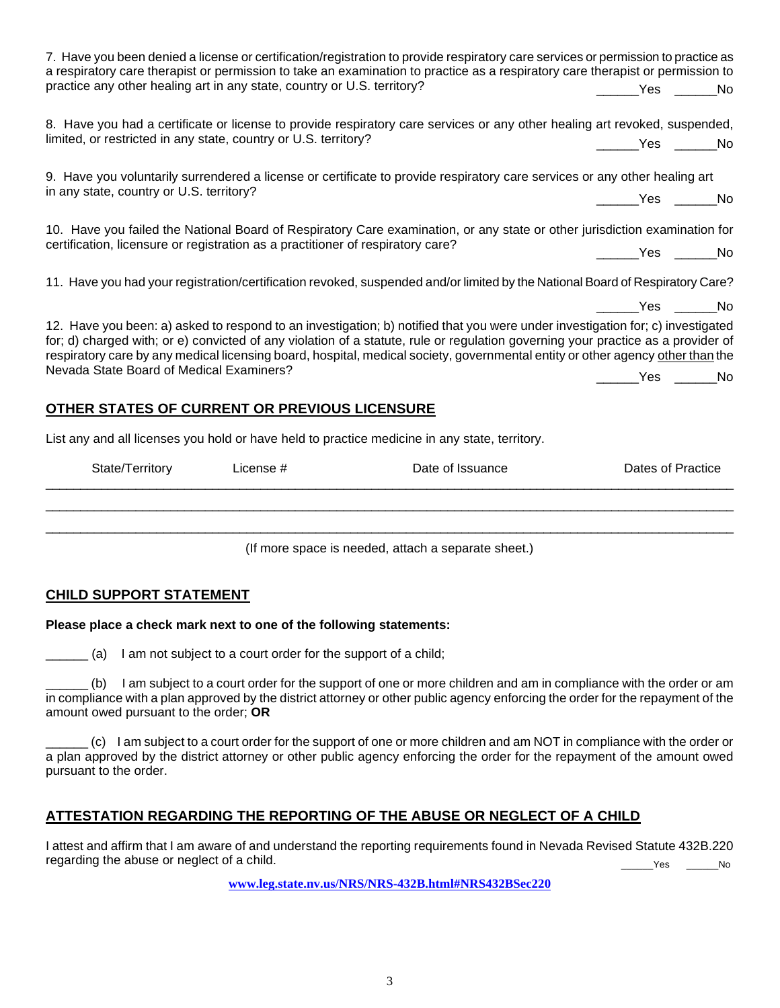|                                                                                               |                                                                                                                                                                                                                                                                                                                                                           | a respiratory care therapist or permission to take an examination to practice as a respiratory care therapist or permission to                                                                                                                                                                                                                                                                       |                       |  |
|-----------------------------------------------------------------------------------------------|-----------------------------------------------------------------------------------------------------------------------------------------------------------------------------------------------------------------------------------------------------------------------------------------------------------------------------------------------------------|------------------------------------------------------------------------------------------------------------------------------------------------------------------------------------------------------------------------------------------------------------------------------------------------------------------------------------------------------------------------------------------------------|-----------------------|--|
| practice any other healing art in any state, country or U.S. territory?                       |                                                                                                                                                                                                                                                                                                                                                           |                                                                                                                                                                                                                                                                                                                                                                                                      | ________Yes _______No |  |
| limited, or restricted in any state, country or U.S. territory?                               |                                                                                                                                                                                                                                                                                                                                                           | 8. Have you had a certificate or license to provide respiratory care services or any other healing art revoked, suspended,                                                                                                                                                                                                                                                                           | ________Yes _______No |  |
|                                                                                               |                                                                                                                                                                                                                                                                                                                                                           | 9. Have you voluntarily surrendered a license or certificate to provide respiratory care services or any other healing art                                                                                                                                                                                                                                                                           |                       |  |
| in any state, country or U.S. territory?                                                      |                                                                                                                                                                                                                                                                                                                                                           |                                                                                                                                                                                                                                                                                                                                                                                                      | _______Yes _______No  |  |
| certification, licensure or registration as a practitioner of respiratory care?               |                                                                                                                                                                                                                                                                                                                                                           | 10. Have you failed the National Board of Respiratory Care examination, or any state or other jurisdiction examination for                                                                                                                                                                                                                                                                           | No Ves No             |  |
|                                                                                               |                                                                                                                                                                                                                                                                                                                                                           | 11. Have you had your registration/certification revoked, suspended and/or limited by the National Board of Respiratory Care?                                                                                                                                                                                                                                                                        |                       |  |
|                                                                                               |                                                                                                                                                                                                                                                                                                                                                           |                                                                                                                                                                                                                                                                                                                                                                                                      | _______Yes ______No   |  |
|                                                                                               |                                                                                                                                                                                                                                                                                                                                                           | 12. Have you been: a) asked to respond to an investigation; b) notified that you were under investigation for; c) investigated<br>for; d) charged with; or e) convicted of any violation of a statute, rule or regulation governing your practice as a provider of<br>respiratory care by any medical licensing board, hospital, medical society, governmental entity or other agency other than the |                       |  |
| Nevada State Board of Medical Examiners?                                                      |                                                                                                                                                                                                                                                                                                                                                           |                                                                                                                                                                                                                                                                                                                                                                                                      | Yes No                |  |
| OTHER STATES OF CURRENT OR PREVIOUS LICENSURE                                                 |                                                                                                                                                                                                                                                                                                                                                           |                                                                                                                                                                                                                                                                                                                                                                                                      |                       |  |
| List any and all licenses you hold or have held to practice medicine in any state, territory. |                                                                                                                                                                                                                                                                                                                                                           |                                                                                                                                                                                                                                                                                                                                                                                                      |                       |  |
|                                                                                               | $P_{\text{data}}$ $T_{\text{variable}}$ $\qquad$ $\qquad$ $\qquad$ $\qquad$ $\qquad$ $\qquad$ $\qquad$ $\qquad$ $\qquad$ $\qquad$ $\qquad$ $\qquad$ $\qquad$ $\qquad$ $\qquad$ $\qquad$ $\qquad$ $\qquad$ $\qquad$ $\qquad$ $\qquad$ $\qquad$ $\qquad$ $\qquad$ $\qquad$ $\qquad$ $\qquad$ $\qquad$ $\qquad$ $\qquad$ $\qquad$ $\qquad$ $\qquad$ $\qquad$ |                                                                                                                                                                                                                                                                                                                                                                                                      | Doton of Drootion     |  |

7. Have you been denied a license or certification/registration to provide respiratory care services or permission to practice as

| State/Territory | License # | Date of Issuance | Dates of Practice |
|-----------------|-----------|------------------|-------------------|
|                 |           |                  |                   |
|                 |           |                  |                   |
|                 |           |                  |                   |

(If more space is needed, attach a separate sheet.)

## **CHILD SUPPORT STATEMENT**

### **Please place a check mark next to one of the following statements:**

\_\_\_\_\_\_ (a) I am not subject to a court order for the support of a child;

\_\_\_\_\_\_ (b) I am subject to a court order for the support of one or more children and am in compliance with the order or am in compliance with a plan approved by the district attorney or other public agency enforcing the order for the repayment of the amount owed pursuant to the order; **OR**

\_\_\_\_\_\_ (c) I am subject to a court order for the support of one or more children and am NOT in compliance with the order or a plan approved by the district attorney or other public agency enforcing the order for the repayment of the amount owed pursuant to the order.

# **ATTESTATION REGARDING THE REPORTING OF THE ABUSE OR NEGLECT OF A CHILD**

I attest and affirm that I am aware of and understand the reporting requirements found in Nevada Revised Statute 432B.220 regarding the abuse or neglect of a child. \_\_\_\_\_\_Yes \_\_\_\_\_\_No

**[www.leg.state.nv.us/NRS/NRS-432B.html#NRS432BSec220](http://www.leg.state.nv.us/NRS/NRS-432B.html#NRS432BSec220)**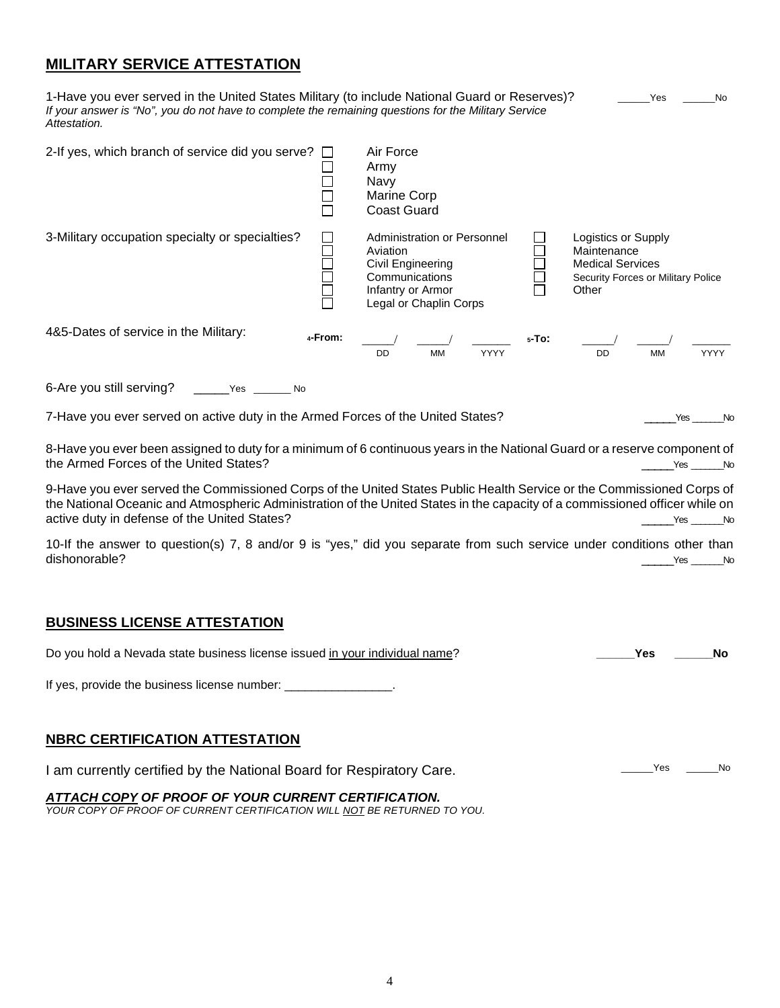## **MILITARY SERVICE ATTESTATION**

| 1-Have you ever served in the United States Military (to include National Guard or Reserves)?<br>If your answer is "No", you do not have to complete the remaining questions for the Military Service<br>Attestation. |                                                                                                                               |            | Yes<br>No.                                                                                                   |
|-----------------------------------------------------------------------------------------------------------------------------------------------------------------------------------------------------------------------|-------------------------------------------------------------------------------------------------------------------------------|------------|--------------------------------------------------------------------------------------------------------------|
| 2-If yes, which branch of service did you serve?                                                                                                                                                                      | Air Force<br>Army<br>Navy<br>Marine Corp<br><b>Coast Guard</b>                                                                |            |                                                                                                              |
| 3-Military occupation specialty or specialties?                                                                                                                                                                       | Administration or Personnel<br>Aviation<br>Civil Engineering<br>Communications<br>Infantry or Armor<br>Legal or Chaplin Corps |            | Logistics or Supply<br>Maintenance<br><b>Medical Services</b><br>Security Forces or Military Police<br>Other |
| 4&5-Dates of service in the Military:<br>4-From:                                                                                                                                                                      | <b>DD</b><br><b>MM</b><br>YYYY                                                                                                | $5 - To$ : | <b>MM</b><br><b>YYYY</b><br>DD                                                                               |
| 6-Are you still serving?<br>Yes<br>No                                                                                                                                                                                 |                                                                                                                               |            |                                                                                                              |

7-Have you ever served on active duty in the Armed Forces of the United States? The Context Construction of the United States?

8-Have you ever been assigned to duty for a minimum of 6 continuous years in the National Guard or a reserve component of the Armed Forces of the United States?

9-Have you ever served the Commissioned Corps of the United States Public Health Service or the Commissioned Corps of the National Oceanic and Atmospheric Administration of the United States in the capacity of a commissioned officer while on active duty in defense of the United States? <br>
No active duty in defense of the United States?

10-If the answer to question(s) 7, 8 and/or 9 is "yes," did you separate from such service under conditions other than dishonorable? \_\_\_\_\_Yes \_\_\_\_\_\_\_No

### **BUSINESS LICENSE ATTESTATION**

| Do you hold a Nevada state business license issued in your individual name? | Yes |        | No |
|-----------------------------------------------------------------------------|-----|--------|----|
| If yes, provide the business license number: ________________.              |     |        |    |
|                                                                             |     |        |    |
| <b>NBRC CERTIFICATION ATTESTATION</b>                                       |     |        |    |
| I am currently certified by the National Board for Respiratory Care.        |     | Yes No |    |

*ATTACH COPY OF PROOF OF YOUR CURRENT CERTIFICATION. YOUR COPY OF PROOF OF CURRENT CERTIFICATION WILL NOT BE RETURNED TO YOU.*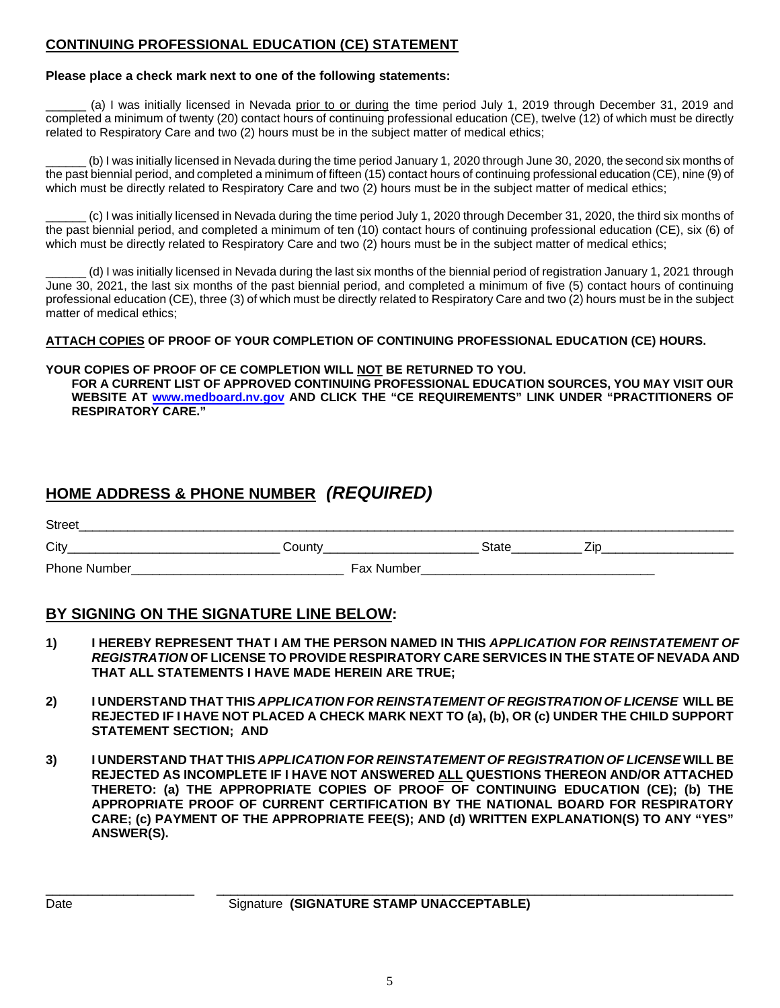## **CONTINUING PROFESSIONAL EDUCATION (CE) STATEMENT**

### **Please place a check mark next to one of the following statements:**

(a) I was initially licensed in Nevada prior to or during the time period July 1, 2019 through December 31, 2019 and completed a minimum of twenty (20) contact hours of continuing professional education (CE), twelve (12) of which must be directly related to Respiratory Care and two (2) hours must be in the subject matter of medical ethics;

(b) I was initially licensed in Nevada during the time period January 1, 2020 through June 30, 2020, the second six months of the past biennial period, and completed a minimum of fifteen (15) contact hours of continuing professional education (CE), nine (9) of which must be directly related to Respiratory Care and two (2) hours must be in the subject matter of medical ethics;

\_\_\_\_\_\_ (c) I was initially licensed in Nevada during the time period July 1, 2020 through December 31, 2020, the third six months of the past biennial period, and completed a minimum of ten (10) contact hours of continuing professional education (CE), six (6) of which must be directly related to Respiratory Care and two (2) hours must be in the subject matter of medical ethics;

\_\_\_\_\_\_ (d) I was initially licensed in Nevada during the last six months of the biennial period of registration January 1, 2021 through June 30, 2021, the last six months of the past biennial period, and completed a minimum of five (5) contact hours of continuing professional education (CE), three (3) of which must be directly related to Respiratory Care and two (2) hours must be in the subject matter of medical ethics;

**ATTACH COPIES OF PROOF OF YOUR COMPLETION OF CONTINUING PROFESSIONAL EDUCATION (CE) HOURS.** 

### **YOUR COPIES OF PROOF OF CE COMPLETION WILL NOT BE RETURNED TO YOU.**

**FOR A CURRENT LIST OF APPROVED CONTINUING PROFESSIONAL EDUCATION SOURCES, YOU MAY VISIT OUR WEBSITE AT www.medboard.nv.gov AND CLICK THE "CE REQUIREMENTS" LINK UNDER "PRACTITIONERS OF RESPIRATORY CARE."** 

# **HOME ADDRESS & PHONE NUMBER** *(REQUIRED)*

| <b>Street</b> |            |       |   |
|---------------|------------|-------|---|
| City          | Count∨     | state | - |
| Phone Number  | Fax Number |       |   |

## **BY SIGNING ON THE SIGNATURE LINE BELOW:**

- **1) I HEREBY REPRESENT THAT I AM THE PERSON NAMED IN THIS** *APPLICATION FOR REINSTATEMENT OF REGISTRATION* **OF LICENSE TO PROVIDE RESPIRATORY CARE SERVICES IN THE STATE OF NEVADA AND THAT ALL STATEMENTS I HAVE MADE HEREIN ARE TRUE;**
- **2) I UNDERSTAND THAT THIS** *APPLICATION FOR REINSTATEMENT OF REGISTRATION OF LICENSE* **WILL BE REJECTED IF I HAVE NOT PLACED A CHECK MARK NEXT TO (a), (b), OR (c) UNDER THE CHILD SUPPORT STATEMENT SECTION; AND**
- **3) I UNDERSTAND THAT THIS** *APPLICATION FOR REINSTATEMENT OF REGISTRATION OF LICENSE* **WILL BE REJECTED AS INCOMPLETE IF I HAVE NOT ANSWERED ALL QUESTIONS THEREON AND/OR ATTACHED THERETO: (a) THE APPROPRIATE COPIES OF PROOF OF CONTINUING EDUCATION (CE); (b) THE APPROPRIATE PROOF OF CURRENT CERTIFICATION BY THE NATIONAL BOARD FOR RESPIRATORY CARE; (c) PAYMENT OF THE APPROPRIATE FEE(S); AND (d) WRITTEN EXPLANATION(S) TO ANY "YES" ANSWER(S).**